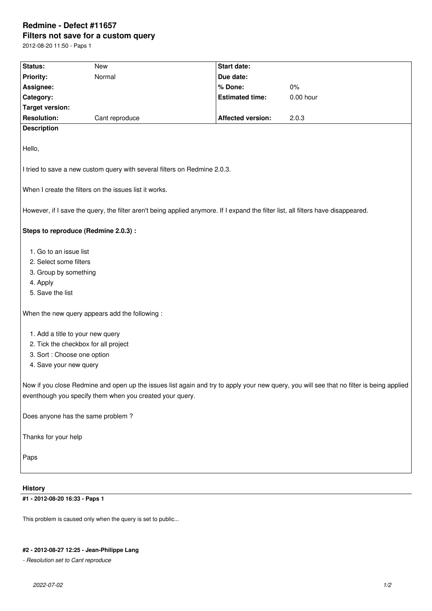## **Redmine - Defect #11657 Filters not save for a custom query**

2012-08-20 11:50 - Paps 1

| <b>Status:</b>                                                                                                                                                                                       | <b>New</b>     | <b>Start date:</b>       |           |
|------------------------------------------------------------------------------------------------------------------------------------------------------------------------------------------------------|----------------|--------------------------|-----------|
| Priority:                                                                                                                                                                                            | Normal         | Due date:                |           |
| Assignee:                                                                                                                                                                                            |                | % Done:                  | 0%        |
| Category:                                                                                                                                                                                            |                | <b>Estimated time:</b>   | 0.00 hour |
| <b>Target version:</b>                                                                                                                                                                               |                |                          |           |
| <b>Resolution:</b>                                                                                                                                                                                   | Cant reproduce | <b>Affected version:</b> | 2.0.3     |
| <b>Description</b>                                                                                                                                                                                   |                |                          |           |
| Hello,                                                                                                                                                                                               |                |                          |           |
| I tried to save a new custom query with several filters on Redmine 2.0.3.                                                                                                                            |                |                          |           |
| When I create the filters on the issues list it works.                                                                                                                                               |                |                          |           |
| However, if I save the query, the filter aren't being applied anymore. If I expand the filter list, all filters have disappeared.                                                                    |                |                          |           |
| Steps to reproduce (Redmine 2.0.3) :                                                                                                                                                                 |                |                          |           |
| 1. Go to an issue list                                                                                                                                                                               |                |                          |           |
| 2. Select some filters                                                                                                                                                                               |                |                          |           |
| 3. Group by something                                                                                                                                                                                |                |                          |           |
| 4. Apply                                                                                                                                                                                             |                |                          |           |
| 5. Save the list                                                                                                                                                                                     |                |                          |           |
| When the new query appears add the following :                                                                                                                                                       |                |                          |           |
| 1. Add a title to your new query                                                                                                                                                                     |                |                          |           |
| 2. Tick the checkbox for all project                                                                                                                                                                 |                |                          |           |
| 3. Sort : Choose one option                                                                                                                                                                          |                |                          |           |
| 4. Save your new query                                                                                                                                                                               |                |                          |           |
| Now if you close Redmine and open up the issues list again and try to apply your new query, you will see that no filter is being applied<br>eventhough you specify them when you created your query. |                |                          |           |
| Does anyone has the same problem?                                                                                                                                                                    |                |                          |           |
| Thanks for your help                                                                                                                                                                                 |                |                          |           |
| Paps                                                                                                                                                                                                 |                |                          |           |
| <b>History</b>                                                                                                                                                                                       |                |                          |           |
| #1 - 2012-08-20 16:33 - Paps 1                                                                                                                                                                       |                |                          |           |

This problem is caused only when the query is set to public...

## **#2 - 2012-08-27 12:25 - Jean-Philippe Lang**

*- Resolution set to Cant reproduce*